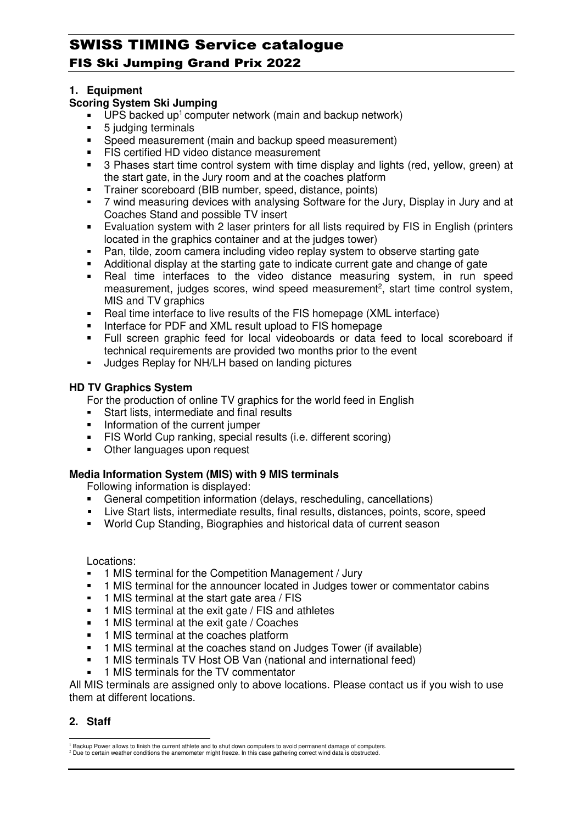### **1. Equipment**

### **Scoring System Ski Jumping**

- $\blacksquare$  UPS backed up<sup>1</sup> computer network (main and backup network)
- 5 judging terminals
- Speed measurement (main and backup speed measurement)
- **FIS certified HD video distance measurement**
- 3 Phases start time control system with time display and lights (red, yellow, green) at the start gate, in the Jury room and at the coaches platform
- Trainer scoreboard (BIB number, speed, distance, points)
- 7 wind measuring devices with analysing Software for the Jury, Display in Jury and at Coaches Stand and possible TV insert
- Evaluation system with 2 laser printers for all lists required by FIS in English (printers located in the graphics container and at the judges tower)
- Pan, tilde, zoom camera including video replay system to observe starting gate
- Additional display at the starting gate to indicate current gate and change of gate
- Real time interfaces to the video distance measuring system, in run speed measurement, judges scores, wind speed measurement<sup>2</sup>, start time control system, MIS and TV graphics
- Real time interface to live results of the FIS homepage (XML interface)
- Interface for PDF and XML result upload to FIS homepage
- Full screen graphic feed for local videoboards or data feed to local scoreboard if technical requirements are provided two months prior to the event
- **Judges Replay for NH/LH based on landing pictures**

### **HD TV Graphics System**

For the production of online TV graphics for the world feed in English

- Start lists, intermediate and final results
- Information of the current jumper
- FIS World Cup ranking, special results (i.e. different scoring)
- **Other languages upon request**

## **Media Information System (MIS) with 9 MIS terminals**

Following information is displayed:

- General competition information (delays, rescheduling, cancellations)
- Live Start lists, intermediate results, final results, distances, points, score, speed
- World Cup Standing, Biographies and historical data of current season

Locations:

- 1 MIS terminal for the Competition Management / Jury
- <sup>1</sup> 1 MIS terminal for the announcer located in Judges tower or commentator cabins
- <sup>1</sup> 1 MIS terminal at the start gate area / FIS
- **1 MIS terminal at the exit gate / FIS and athletes**
- **1 MIS terminal at the exit gate / Coaches**
- **1 MIS terminal at the coaches platform**
- <sup>1</sup> 1 MIS terminal at the coaches stand on Judges Tower (if available)
- 1 MIS terminals TV Host OB Van (national and international feed)
- 1 MIS terminals for the TV commentator

All MIS terminals are assigned only to above locations. Please contact us if you wish to use them at different locations.

## **2. Staff**

l

<sup>1</sup> Backup Power allows to finish the current athlete and to shut down computers to avoid permanent damage of computers. <sup>2</sup> Due to certain weather conditions the anemometer might freeze. In this case gathering correct wind data is obstructed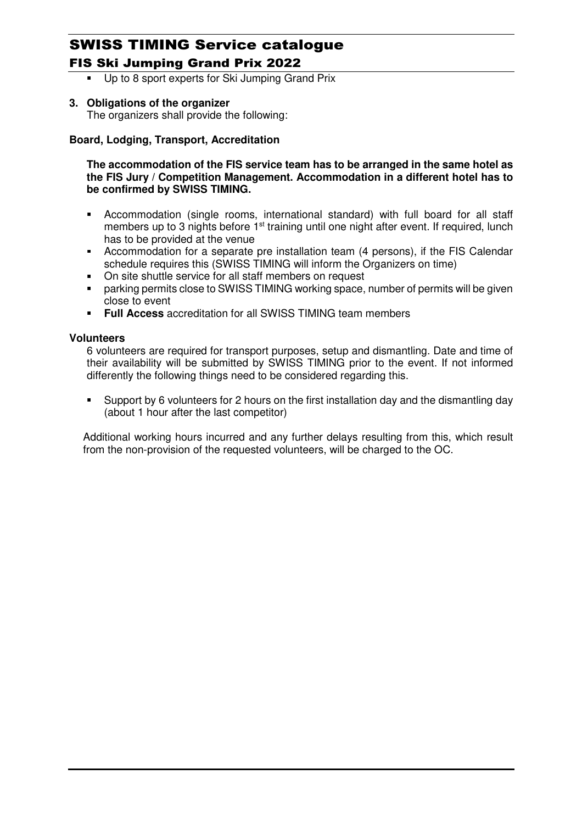Up to 8 sport experts for Ski Jumping Grand Prix

# **3. Obligations of the organizer**

The organizers shall provide the following:

## **Board, Lodging, Transport, Accreditation**

**The accommodation of the FIS service team has to be arranged in the same hotel as the FIS Jury / Competition Management. Accommodation in a different hotel has to be confirmed by SWISS TIMING.** 

- Accommodation (single rooms, international standard) with full board for all staff members up to 3 nights before  $1<sup>st</sup>$  training until one night after event. If required, lunch has to be provided at the venue
- Accommodation for a separate pre installation team (4 persons), if the FIS Calendar schedule requires this (SWISS TIMING will inform the Organizers on time)
- On site shuttle service for all staff members on request
- parking permits close to SWISS TIMING working space, number of permits will be given close to event
- **Full Access** accreditation for all SWISS TIMING team members

### **Volunteers**

6 volunteers are required for transport purposes, setup and dismantling. Date and time of their availability will be submitted by SWISS TIMING prior to the event. If not informed differently the following things need to be considered regarding this.

 Support by 6 volunteers for 2 hours on the first installation day and the dismantling day (about 1 hour after the last competitor)

Additional working hours incurred and any further delays resulting from this, which result from the non-provision of the requested volunteers, will be charged to the OC.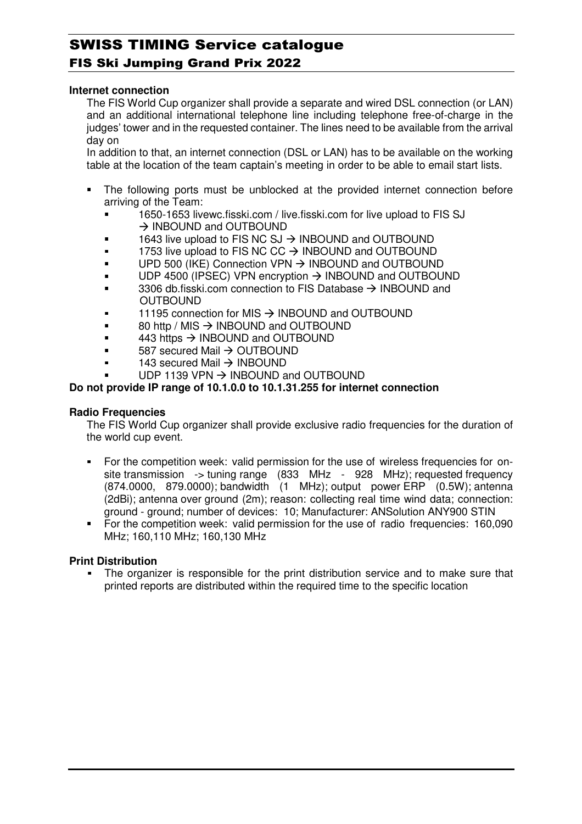#### **Internet connection**

The FIS World Cup organizer shall provide a separate and wired DSL connection (or LAN) and an additional international telephone line including telephone free-of-charge in the judges' tower and in the requested container. The lines need to be available from the arrival day on

In addition to that, an internet connection (DSL or LAN) has to be available on the working table at the location of the team captain's meeting in order to be able to email start lists.

- The following ports must be unblocked at the provided internet connection before arriving of the Team:
	- 1650-1653 livewc.fisski.com / live.fisski.com for live upload to FIS SJ  $\rightarrow$  INBOUND and OUTBOUND
	- $\blacksquare$  1643 live upload to FIS NC SJ  $\rightarrow$  INBOUND and OUTBOUND
	- $\blacksquare$  1753 live upload to FIS NC CC  $\rightarrow$  INBOUND and OUTBOUND
	- $\blacksquare$  UPD 500 (IKE) Connection VPN  $\rightarrow$  INBOUND and OUTBOUND
	- $\blacksquare$  UDP 4500 (IPSEC) VPN encryption  $\rightarrow$  INBOUND and OUTBOUND
	- $\blacksquare$  3306 db.fisski.com connection to FIS Database  $\rightarrow$  INBOUND and OUTBOUND
	- $\blacksquare$  11195 connection for MIS  $\rightarrow$  INBOUND and OUTBOUND
	- $\bullet$  80 http / MIS  $\rightarrow$  INBOUND and OUTBOUND
	- $\bullet$  443 https  $\rightarrow$  INBOUND and OUTBOUND
	- $\bullet$  587 secured Mail  $\rightarrow$  OUTBOUND
	- $\bullet$  143 secured Mail  $\rightarrow$  INBOUND
	- $\blacksquare$  UDP 1139 VPN  $\rightarrow$  INBOUND and OUTBOUND

#### **Do not provide IP range of 10.1.0.0 to 10.1.31.255 for internet connection**

#### **Radio Frequencies**

The FIS World Cup organizer shall provide exclusive radio frequencies for the duration of the world cup event.

- For the competition week: valid permission for the use of wireless frequencies for onsite transmission -> tuning range (833 MHz - 928 MHz); requested frequency (874.0000, 879.0000); bandwidth (1 MHz); output power ERP (0.5W); antenna (2dBi); antenna over ground (2m); reason: collecting real time wind data; connection: ground - ground; number of devices: 10; Manufacturer: ANSolution ANY900 STIN
- For the competition week: valid permission for the use of radio frequencies: 160,090 MHz; 160,110 MHz; 160,130 MHz

#### **Print Distribution**

 The organizer is responsible for the print distribution service and to make sure that printed reports are distributed within the required time to the specific location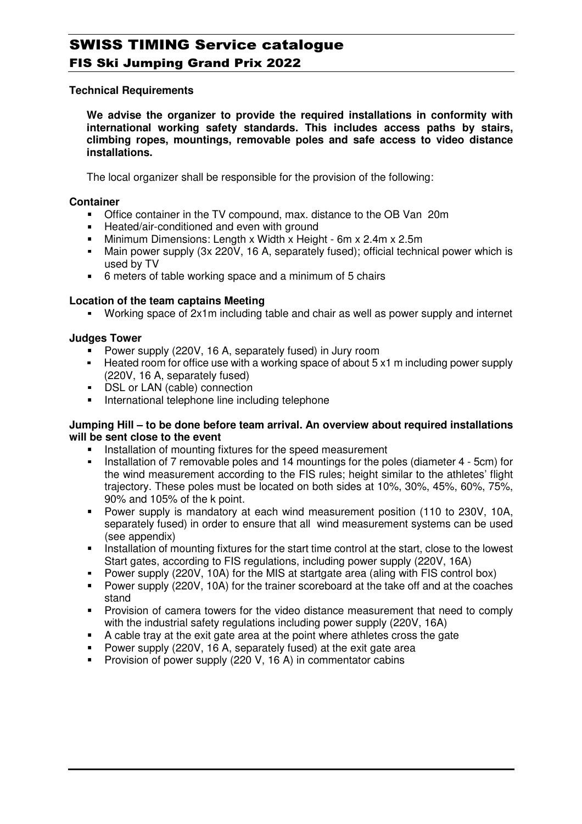### **Technical Requirements**

**We advise the organizer to provide the required installations in conformity with international working safety standards. This includes access paths by stairs, climbing ropes, mountings, removable poles and safe access to video distance installations.**

The local organizer shall be responsible for the provision of the following:

#### **Container**

- Office container in the TV compound, max. distance to the OB Van 20m
- Heated/air-conditioned and even with ground
- Minimum Dimensions: Length x Width x Height 6m x 2.4m x 2.5m
- Main power supply (3x 220V, 16 A, separately fused); official technical power which is used by TV
- 6 meters of table working space and a minimum of 5 chairs

### **Location of the team captains Meeting**

Working space of 2x1m including table and chair as well as power supply and internet

### **Judges Tower**

- Power supply (220V, 16 A, separately fused) in Jury room
- Heated room for office use with a working space of about 5 x1 m including power supply (220V, 16 A, separately fused)
- **DSL or LAN (cable) connection**
- **International telephone line including telephone**

#### **Jumping Hill – to be done before team arrival. An overview about required installations will be sent close to the event**

- Installation of mounting fixtures for the speed measurement
- Installation of 7 removable poles and 14 mountings for the poles (diameter 4 5cm) for the wind measurement according to the FIS rules; height similar to the athletes' flight trajectory. These poles must be located on both sides at 10%, 30%, 45%, 60%, 75%, 90% and 105% of the k point.
- Power supply is mandatory at each wind measurement position (110 to 230V, 10A, separately fused) in order to ensure that all wind measurement systems can be used (see appendix)
- Installation of mounting fixtures for the start time control at the start, close to the lowest Start gates, according to FIS regulations, including power supply (220V, 16A)
- Power supply (220V, 10A) for the MIS at startgate area (aling with FIS control box)
- **Power supply (220V, 10A) for the trainer scoreboard at the take off and at the coaches** stand
- Provision of camera towers for the video distance measurement that need to comply with the industrial safety regulations including power supply (220V, 16A)
- A cable tray at the exit gate area at the point where athletes cross the gate
- Power supply (220V, 16 A, separately fused) at the exit gate area
- **Provision of power supply (220 V, 16 A) in commentator cabins**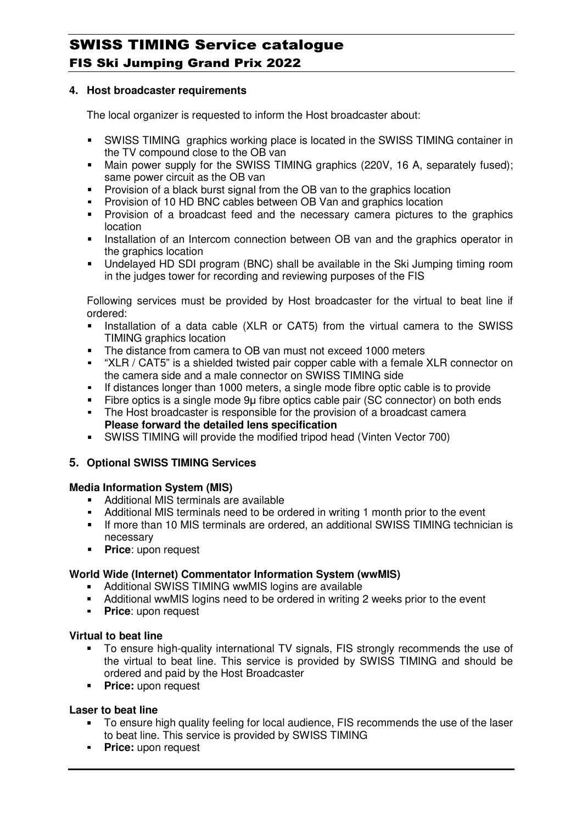### **4. Host broadcaster requirements**

The local organizer is requested to inform the Host broadcaster about:

- SWISS TIMING graphics working place is located in the SWISS TIMING container in the TV compound close to the OB van
- Main power supply for the SWISS TIMING graphics (220V, 16 A, separately fused); same power circuit as the OB van
- **Provision of a black burst signal from the OB van to the graphics location**
- Provision of 10 HD BNC cables between OB Van and graphics location
- **Provision of a broadcast feed and the necessary camera pictures to the graphics** location
- **Installation of an Intercom connection between OB van and the graphics operator in** the graphics location
- Undelayed HD SDI program (BNC) shall be available in the Ski Jumping timing room in the judges tower for recording and reviewing purposes of the FIS

Following services must be provided by Host broadcaster for the virtual to beat line if ordered:

- Installation of a data cable (XLR or CAT5) from the virtual camera to the SWISS TIMING graphics location
- The distance from camera to OB van must not exceed 1000 meters<br>• "XLR / CAT5" is a shielded twisted nair conner cable with a fomale
- "XLR / CAT5" is a shielded twisted pair copper cable with a female XLR connector on the camera side and a male connector on SWISS TIMING side
- If distances longer than 1000 meters, a single mode fibre optic cable is to provide
- Fibre optics is a single mode 9µ fibre optics cable pair (SC connector) on both ends
- The Host broadcaster is responsible for the provision of a broadcast camera **Please forward the detailed lens specification**
- SWISS TIMING will provide the modified tripod head (Vinten Vector 700)

## **5. Optional SWISS TIMING Services**

#### **Media Information System (MIS)**

- **Additional MIS terminals are available**
- Additional MIS terminals need to be ordered in writing 1 month prior to the event
- If more than 10 MIS terminals are ordered, an additional SWISS TIMING technician is necessary
- **Price:** upon request

## **World Wide (Internet) Commentator Information System (wwMIS)**

- Additional SWISS TIMING wwMIS logins are available
- Additional wwMIS logins need to be ordered in writing 2 weeks prior to the event
- **Price:** upon request

#### **Virtual to beat line**

- To ensure high-quality international TV signals, FIS strongly recommends the use of the virtual to beat line. This service is provided by SWISS TIMING and should be ordered and paid by the Host Broadcaster
- **Price: upon request**

#### **Laser to beat line**

- To ensure high quality feeling for local audience, FIS recommends the use of the laser to beat line. This service is provided by SWISS TIMING
- **Price: upon request**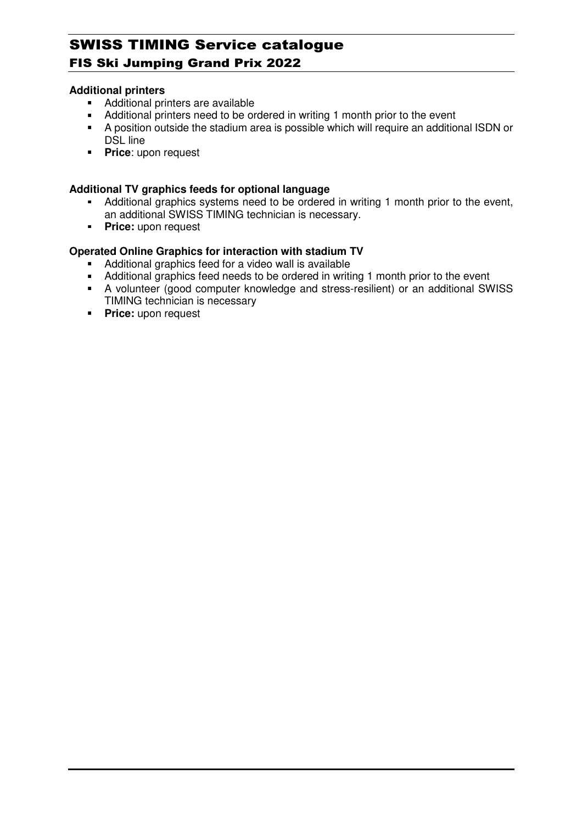### **Additional printers**

- Additional printers are available
- Additional printers need to be ordered in writing 1 month prior to the event
- A position outside the stadium area is possible which will require an additional ISDN or DSL line
- **Price:** upon request

### **Additional TV graphics feeds for optional language**

- Additional graphics systems need to be ordered in writing 1 month prior to the event, an additional SWISS TIMING technician is necessary.
- **Price:** upon request

## **Operated Online Graphics for interaction with stadium TV**

- Additional graphics feed for a video wall is available
- Additional graphics feed needs to be ordered in writing 1 month prior to the event
- A volunteer (good computer knowledge and stress-resilient) or an additional SWISS TIMING technician is necessary
- **Price:** upon request